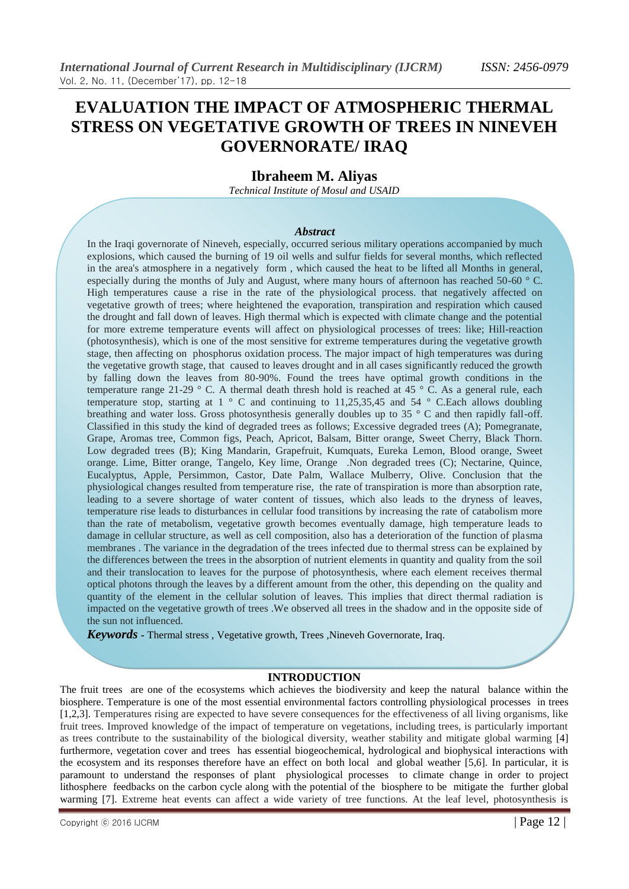# **EVALUATION THE IMPACT OF ATMOSPHERIC THERMAL STRESS ON VEGETATIVE GROWTH OF TREES IN NINEVEH GOVERNORATE/ IRAQ**

## **Ibraheem M. Aliyas**

*Technical Institute of Mosul and USAID*

#### *Abstract*

In the Iraqi governorate of Nineveh, especially, occurred serious military operations accompanied by much explosions, which caused the burning of 19 oil wells and sulfur fields for several months, which reflected in the area's atmosphere in a negatively form , which caused the heat to be lifted all Months in general, especially during the months of July and August, where many hours of afternoon has reached 50-60 ° C. High temperatures cause a rise in the rate of the physiological process. that negatively affected on vegetative growth of trees; where heightened the evaporation, transpiration and respiration which caused the drought and fall down of leaves. High thermal which is expected with climate change and the potential for more extreme temperature events will affect on physiological processes of trees: like; Hill-reaction (photosynthesis), which is one of the most sensitive for extreme temperatures during the vegetative growth stage, then affecting on phosphorus oxidation process. The major impact of high temperatures was during the vegetative growth stage, that caused to leaves drought and in all cases significantly reduced the growth by falling down the leaves from 80-90%. Found the trees have optimal growth conditions in the temperature range 21-29 ° C. A thermal death thresh hold is reached at 45 ° C. As a general rule, each temperature stop, starting at  $1 \degree$  C and continuing to 11,25,35,45 and 54  $\degree$  C. Each allows doubling breathing and water loss. Gross photosynthesis generally doubles up to 35 ° C and then rapidly fall-off. Classified in this study the kind of degraded trees as follows; Excessive degraded trees (A); Pomegranate, Grape, Aromas tree, Common figs, Peach, Apricot, Balsam, Bitter orange, Sweet Cherry, Black Thorn. Low degraded trees (B); King Mandarin, Grapefruit, Kumquats, Eureka Lemon, Blood orange, Sweet orange. Lime, Bitter orange, Tangelo, Key lime, Orange .Non degraded trees (C); Nectarine, Quince, Eucalyptus, Apple, Persimmon, Castor, Date Palm, Wallace Mulberry, Olive. Conclusion that the physiological changes resulted from temperature rise, the rate of transpiration is more than absorption rate, leading to a severe shortage of water content of tissues, which also leads to the dryness of leaves, temperature rise leads to disturbances in cellular food transitions by increasing the rate of catabolism more than the rate of metabolism, vegetative growth becomes eventually damage, high temperature leads to damage in cellular structure, as well as cell composition, also has a deterioration of the function of plasma membranes . The variance in the degradation of the trees infected due to thermal stress can be explained by the differences between the trees in the absorption of nutrient elements in quantity and quality from the soil and their translocation to leaves for the purpose of photosynthesis, where each element receives thermal optical photons through the leaves by a different amount from the other, this depending on the quality and quantity of the element in the cellular solution of leaves. This implies that direct thermal radiation is impacted on the vegetative growth of trees .We observed all trees in the shadow and in the opposite side of the sun not influenced.

*Keywords -* Thermal stress , Vegetative growth, Trees ,Nineveh Governorate, Iraq.

#### **INTRODUCTION**

The fruit trees are one of the ecosystems which achieves the biodiversity and keep the natural balance within the biosphere. Temperature is one of the most essential environmental factors controlling physiological processes in trees [1,2,3]. Temperatures rising are expected to have severe consequences for the effectiveness of all living organisms, like fruit trees. Improved knowledge of the impact of temperature on vegetations, including trees, is particularly important as trees contribute to the sustainability of the biological diversity, weather stability and mitigate global warming [4] furthermore, vegetation cover and trees has essential biogeochemical, hydrological and biophysical interactions with the ecosystem and its responses therefore have an effect on both local and global weather [5,6]. In particular, it is paramount to understand the responses of plant physiological processes to climate change in order to project lithosphere feedbacks on the carbon cycle along with the potential of the biosphere to be mitigate the further global warming [7]. Extreme heat events can affect a wide variety of tree functions. At the leaf level, photosynthesis is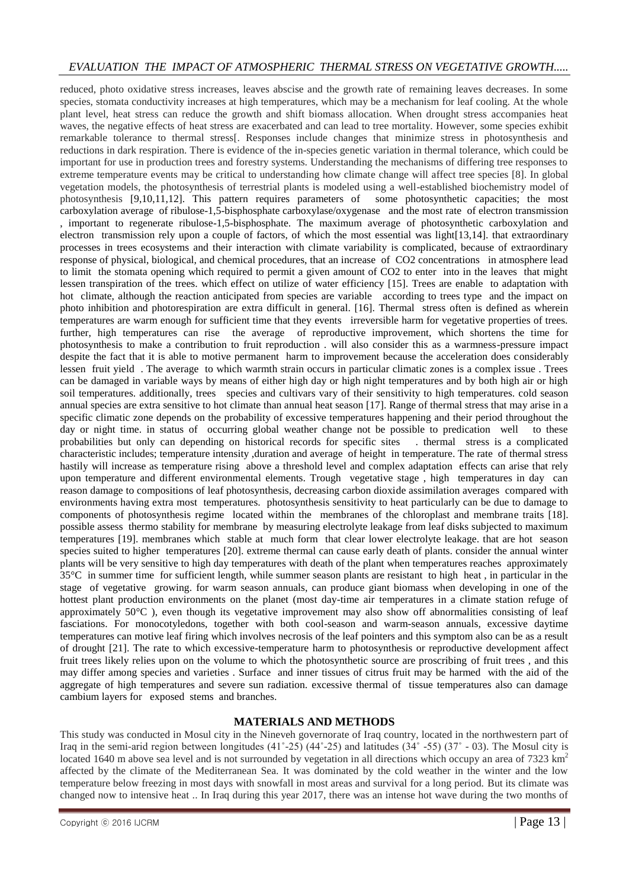## *EVALUATION THE IMPACT OF ATMOSPHERIC THERMAL STRESS ON VEGETATIVE GROWTH.....*

reduced, photo oxidative stress increases, leaves abscise and the growth rate of remaining leaves decreases. In some species, stomata conductivity increases at high temperatures, which may be a mechanism for leaf cooling. At the whole plant level, heat stress can reduce the growth and shift biomass allocation. When drought stress accompanies heat waves, the negative effects of heat stress are exacerbated and can lead to tree mortality. However, some species exhibit remarkable tolerance to thermal stress[. Responses include changes that minimize stress in photosynthesis and reductions in dark respiration. There is evidence of the in-species genetic variation in thermal tolerance, which could be important for use in production trees and forestry systems. Understanding the mechanisms of differing tree responses to extreme temperature events may be critical to understanding how climate change will affect tree species [8]. In global vegetation models, the photosynthesis of terrestrial plants is modeled using a well-established biochemistry model of photosynthesis [9,10,11,12]. This pattern requires parameters of some photosynthetic capacities; the most carboxylation average of ribulose-1,5-bisphosphate carboxylase/oxygenase and the most rate of electron transmission , important to regenerate ribulose-1,5-bisphosphate. The maximum average of photosynthetic carboxylation and electron transmission rely upon a couple of factors, of which the most essential was light[13,14]. that extraordinary processes in trees ecosystems and their interaction with climate variability is complicated, because of extraordinary response of physical, biological, and chemical procedures, that an increase of CO2 concentrations in atmosphere lead to limit the stomata opening which required to permit a given amount of CO2 to enter into in the leaves that might lessen transpiration of the trees. which effect on utilize of water efficiency [15]. Trees are enable to adaptation with hot climate, although the reaction anticipated from species are variable according to trees type and the impact on photo inhibition and photorespiration are extra difficult in general. [16]. Thermal stress often is defined as wherein temperatures are warm enough for sufficient time that they events irreversible harm for vegetative properties of trees. further, high temperatures can rise the average of reproductive improvement, which shortens the time for photosynthesis to make a contribution to fruit reproduction . will also consider this as a warmness-pressure impact despite the fact that it is able to motive permanent harm to improvement because the acceleration does considerably lessen fruit yield . The average to which warmth strain occurs in particular climatic zones is a complex issue . Trees can be damaged in variable ways by means of either high day or high night temperatures and by both high air or high soil temperatures. additionally, trees species and cultivars vary of their sensitivity to high temperatures. cold season annual species are extra sensitive to hot climate than annual heat season [17]. Range of thermal stress that may arise in a specific climatic zone depends on the probability of excessive temperatures happening and their period throughout the day or night time. in status of occurring global weather change not be possible to predication well to these probabilities but only can depending on historical records for specific sites . thermal stress is a complicated characteristic includes; temperature intensity ,duration and average of height in temperature. The rate of thermal stress hastily will increase as temperature rising above a threshold level and complex adaptation effects can arise that rely upon temperature and different environmental elements. Trough vegetative stage , high temperatures in day can reason damage to compositions of leaf photosynthesis, decreasing carbon dioxide assimilation averages compared with environments having extra most temperatures. photosynthesis sensitivity to heat particularly can be due to damage to components of photosynthesis regime located within the membranes of the chloroplast and membrane traits [18]. possible assess thermo stability for membrane by measuring electrolyte leakage from leaf disks subjected to maximum temperatures [19]. membranes which stable at much form that clear lower electrolyte leakage. that are hot season species suited to higher temperatures [20]. extreme thermal can cause early death of plants. consider the annual winter plants will be very sensitive to high day temperatures with death of the plant when temperatures reaches approximately 35°C in summer time for sufficient length, while summer season plants are resistant to high heat , in particular in the stage of vegetative growing. for warm season annuals, can produce giant biomass when developing in one of the hottest plant production environments on the planet (most day-time air temperatures in a climate station refuge of approximately 50°C ), even though its vegetative improvement may also show off abnormalities consisting of leaf fasciations. For monocotyledons, together with both cool-season and warm-season annuals, excessive daytime temperatures can motive leaf firing which involves necrosis of the leaf pointers and this symptom also can be as a result of drought [21]. The rate to which excessive-temperature harm to photosynthesis or reproductive development affect fruit trees likely relies upon on the volume to which the photosynthetic source are proscribing of fruit trees , and this may differ among species and varieties . Surface and inner tissues of citrus fruit may be harmed with the aid of the aggregate of high temperatures and severe sun radiation. excessive thermal of tissue temperatures also can damage cambium layers for exposed stems and branches.

## **MATERIALS AND METHODS**

This study was conducted in Mosul city in the Nineveh governorate of Iraq country, located in the northwestern part of Iraq in the semi-arid region between longitudes  $(41°-25)$   $(44°-25)$  and latitudes  $(34° - 55)$   $(37° - 03)$ . The Mosul city is located 1640 m above sea level and is not surrounded by vegetation in all directions which occupy an area of  $7323 \text{ km}^2$ affected by the climate of the Mediterranean Sea. It was dominated by the cold weather in the winter and the low temperature below freezing in most days with snowfall in most areas and survival for a long period. But its climate was changed now to intensive heat .. In Iraq during this year 2017, there was an intense hot wave during the two months of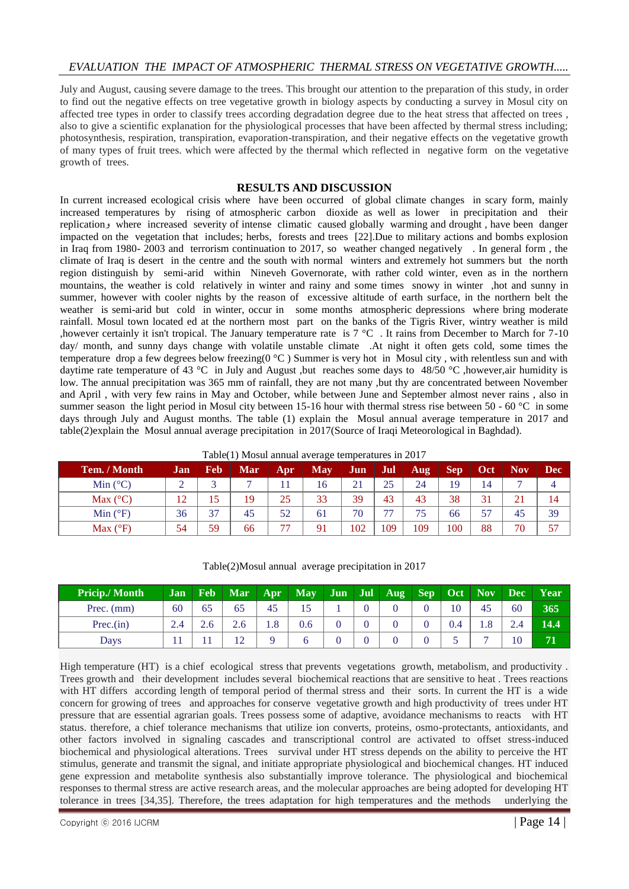July and August, causing severe damage to the trees. This brought our attention to the preparation of this study, in order to find out the negative effects on tree vegetative growth in biology aspects by conducting a survey in Mosul city on affected tree types in order to classify trees according degradation degree due to the heat stress that affected on trees , also to give a scientific explanation for the physiological processes that have been affected by thermal stress including; photosynthesis, respiration, transpiration, evaporation-transpiration, and their negative effects on the vegetative growth of many types of fruit trees. which were affected by the thermal which reflected in negative form on the vegetative growth of trees.

### **RESULTS AND DISCUSSION**

In current increased ecological crisis where have been occurred of global climate changes in scary form, mainly increased temperatures by rising of atmospheric carbon dioxide as well as lower in precipitation and their replicationو where increased severity of intense climatic caused globally warming and drought , have been danger impacted on the vegetation that includes; herbs, forests and trees [22].Due to military actions and bombs explosion in Iraq from 1980- 2003 and terrorism continuation to 2017, so weather changed negatively . In general form , the climate of Iraq is desert in the centre and the south with normal winters and extremely hot summers but the north region distinguish by semi-arid within Nineveh Governorate, with rather cold winter, even as in the northern mountains, the weather is cold relatively in winter and rainy and some times snowy in winter ,hot and sunny in summer, however with cooler nights by the reason of excessive altitude of earth surface, in the northern belt the weather is semi-arid but cold in winter, occur in some months atmospheric depressions where bring moderate rainfall. Mosul town located ed at the northern most part on the banks of the Tigris River, wintry weather is mild ,however certainly it isn't tropical. The January temperature rate is 7 °C . It rains from December to March for 7-10 day/ month, and sunny days change with volatile unstable climate .At night it often gets cold, some times the temperature drop a few degrees below freezing(0 °C ) Summer is very hot in Mosul city , with relentless sun and with daytime rate temperature of 43 °C in July and August ,but reaches some days to 48/50 °C ,however,air humidity is low. The annual precipitation was 365 mm of rainfall, they are not many ,but thy are concentrated between November and April , with very few rains in May and October, while between June and September almost never rains , also in summer season the light period in Mosul city between 15-16 hour with thermal stress rise between 50 - 60  $^{\circ}$ C in some days through July and August months. The table (1) explain the Mosul annual average temperature in 2017 and table(2)explain the Mosul annual average precipitation in 2017(Source of Iraqi Meteorological in Baghdad).

|  | Table(1) Mosul annual average temperatures in $2017$ |  |
|--|------------------------------------------------------|--|
|  |                                                      |  |

| Tem. / Month      | Jan | Feb        | <b>Mar</b> | Apr                      | <b>May</b> | Jun | Jul                      | Aug | Sep | Oct | <b>Nov</b> | <b>Dec</b> |
|-------------------|-----|------------|------------|--------------------------|------------|-----|--------------------------|-----|-----|-----|------------|------------|
| Min $(^{\circ}C)$ |     |            |            |                          | 16         | 21  | 25                       | 24  | 19  | 14  |            |            |
| Max $(^{\circ}C)$ | 12  | $\epsilon$ | 19         | 25                       | 33         | 39  | 43                       | 43  | 38  | 31  |            | 14         |
| Min $(^{\circ}F)$ | 36  | 37         | 45         | 52                       | 61         | 70  | $\overline{\phantom{a}}$ | 75  | 66  | 57  | 45         | 39         |
| Max $(^{\circ}F)$ | 54  | 59         | 66         | $\overline{\phantom{a}}$ | 91         | 102 | 109                      | 109 | 100 | 88  | 70         | 57         |

| <b>Pricip./Month</b> | Jan | <b>Feb</b> |     |     | Mar   Apr   May   Jun   Jul   Aug |  |  |     | Sep Oct   Nov   Dec |    | Year |
|----------------------|-----|------------|-----|-----|-----------------------------------|--|--|-----|---------------------|----|------|
| Prec. $(mm)$         | 60  | 65         | 65  | 45  |                                   |  |  | 10  | 45                  | 60 | 365  |
| Prec.in)             | 2.4 | 2.6        |     | 1.8 | 0.6                               |  |  | 0.4 | 1.8                 |    | 14.4 |
| Days                 |     |            | 1 າ |     |                                   |  |  |     |                     | 10 |      |

High temperature (HT) is a chief ecological stress that prevents vegetations growth, metabolism, and productivity . Trees growth and their development includes several biochemical reactions that are sensitive to heat . Trees reactions with HT differs according length of temporal period of thermal stress and their sorts. In current the HT is a wide concern for growing of trees and approaches for conserve vegetative growth and high productivity of trees under HT pressure that are essential agrarian goals. Trees possess some of adaptive, avoidance mechanisms to reacts with HT status. therefore, a chief tolerance mechanisms that utilize ion converts, proteins, osmo-protectants, antioxidants, and other factors involved in signaling cascades and transcriptional control are activated to offset stress-induced biochemical and physiological alterations. Trees survival under HT stress depends on the ability to perceive the HT stimulus, generate and transmit the signal, and initiate appropriate physiological and biochemical changes. HT induced gene expression and metabolite synthesis also substantially improve tolerance. The physiological and biochemical responses to thermal stress are active research areas, and the molecular approaches are being adopted for developing HT tolerance in trees [34,35]. Therefore, the trees adaptation for high temperatures and the methods underlying the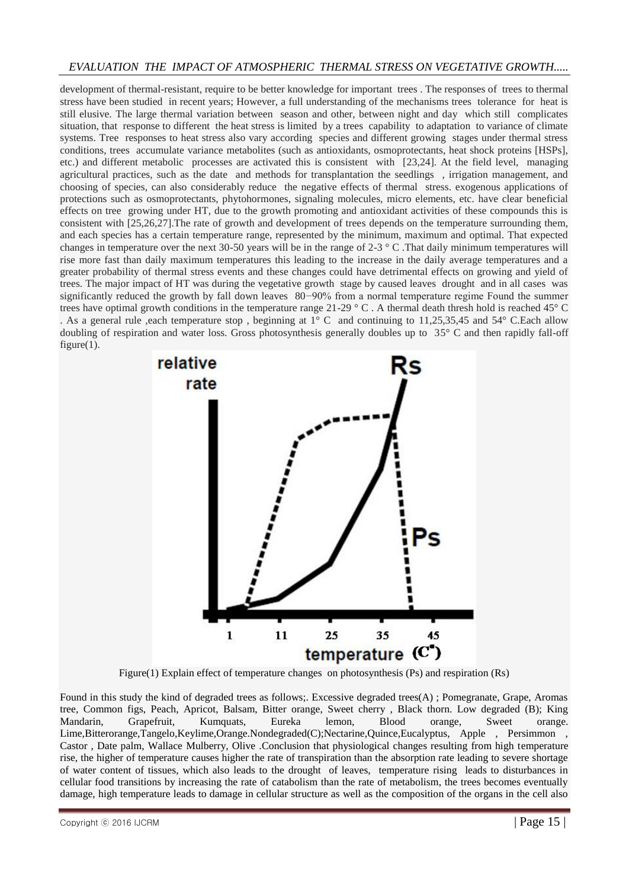## *EVALUATION THE IMPACT OF ATMOSPHERIC THERMAL STRESS ON VEGETATIVE GROWTH.....*

development of thermal-resistant, require to be better knowledge for important trees . The responses of trees to thermal stress have been studied in recent years; However, a full understanding of the mechanisms trees tolerance for heat is still elusive. The large thermal variation between season and other, between night and day which still complicates situation, that response to different the heat stress is limited by a trees capability to adaptation to variance of climate systems. Tree responses to heat stress also vary according species and different growing stages under thermal stress conditions, trees accumulate variance metabolites (such as antioxidants, osmoprotectants, heat shock proteins [HSPs], etc.) and different metabolic processes are activated this is consistent with [23,24]. At the field level, managing agricultural practices, such as the date and methods for transplantation the seedlings , irrigation management, and choosing of species, can also considerably reduce the negative effects of thermal stress. exogenous applications of protections such as osmoprotectants, phytohormones, signaling molecules, micro elements, etc. have clear beneficial effects on tree growing under HT, due to the growth promoting and antioxidant activities of these compounds this is consistent with [25,26,27].The rate of growth and development of trees depends on the temperature surrounding them, and each species has a certain temperature range, represented by the minimum, maximum and optimal. That expected changes in temperature over the next 30-50 years will be in the range of 2-3 ° C .That daily minimum temperatures will rise more fast than daily maximum temperatures this leading to the increase in the daily average temperatures and a greater probability of thermal stress events and these changes could have detrimental effects on growing and yield of trees. The major impact of HT was during the vegetative growth stage by caused leaves drought and in all cases was significantly reduced the growth by fall down leaves 80−90% from a normal temperature regime Found the summer trees have optimal growth conditions in the temperature range 21-29 ° C . A thermal death thresh hold is reached 45° C . As a general rule ,each temperature stop , beginning at 1° C and continuing to 11,25,35,45 and 54° C.Each allow doubling of respiration and water loss. Gross photosynthesis generally doubles up to 35° C and then rapidly fall-off figure $(1)$ .



Figure(1) Explain effect of temperature changes on photosynthesis (Ps) and respiration (Rs)

Found in this study the kind of degraded trees as follows;. Excessive degraded trees(A) ; Pomegranate, Grape, Aromas tree, Common figs, Peach, Apricot, Balsam, Bitter orange, Sweet cherry , Black thorn. Low degraded (B); King Mandarin, Grapefruit, Kumquats, Eureka lemon, Blood orange, Sweet orange. Lime,Bitterorange,Tangelo,Keylime,Orange.Nondegraded(C);Nectarine,Quince,Eucalyptus, Apple , Persimmon , Castor , Date palm, Wallace Mulberry, Olive .Conclusion that physiological changes resulting from high temperature rise, the higher of temperature causes higher the rate of transpiration than the absorption rate leading to severe shortage of water content of tissues, which also leads to the drought of leaves, temperature rising leads to disturbances in cellular food transitions by increasing the rate of catabolism than the rate of metabolism, the trees becomes eventually damage, high temperature leads to damage in cellular structure as well as the composition of the organs in the cell also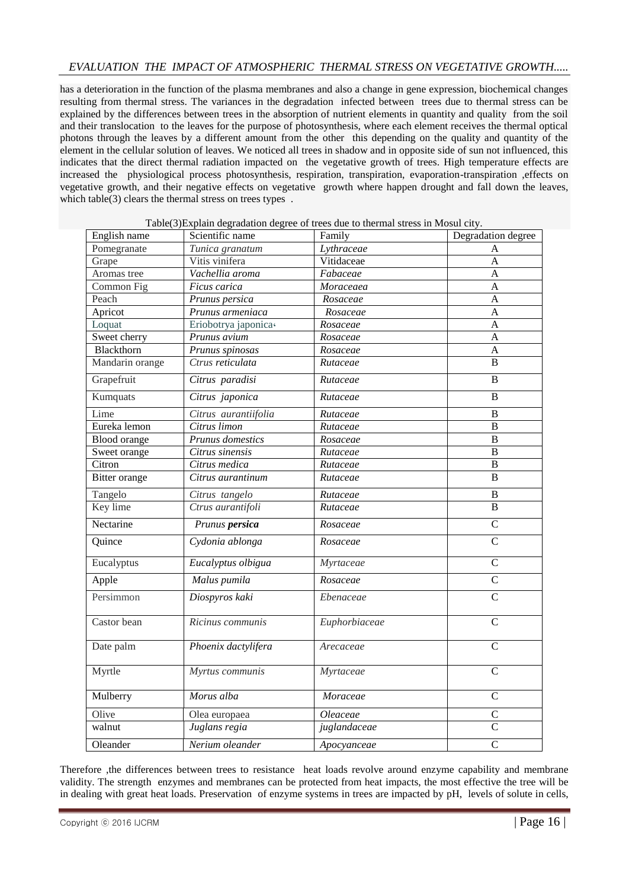## *EVALUATION THE IMPACT OF ATMOSPHERIC THERMAL STRESS ON VEGETATIVE GROWTH.....*

has a deterioration in the function of the plasma membranes and also a change in gene expression, biochemical changes resulting from thermal stress. The variances in the degradation infected between trees due to thermal stress can be explained by the differences between trees in the absorption of nutrient elements in quantity and quality from the soil and their translocation to the leaves for the purpose of photosynthesis, where each element receives the thermal optical photons through the leaves by a different amount from the other this depending on the quality and quantity of the element in the cellular solution of leaves. We noticed all trees in shadow and in opposite side of sun not influenced, this indicates that the direct thermal radiation impacted on the vegetative growth of trees. High temperature effects are increased the physiological process photosynthesis, respiration, transpiration, evaporation-transpiration ,effects on vegetative growth, and their negative effects on vegetative growth where happen drought and fall down the leaves, which table(3) clears the thermal stress on trees types.

| English name        | Scientific name      | Family                 | Degradation degree |
|---------------------|----------------------|------------------------|--------------------|
| Pomegranate         | Tunica granatum      | Lythraceae             | Α                  |
| Grape               | Vitis vinifera       | Vitidaceae             | A                  |
| Aromas tree         | Vachellia aroma      | Fabaceae               | A                  |
| Common Fig          | Ficus carica         | Moraceaea              | $\overline{A}$     |
| Peach               | Prunus persica       | Rosaceae               | $\overline{A}$     |
| Apricot             | Prunus armeniaca     | Rosaceae               | $\overline{A}$     |
| Loquat              | Eriobotrya japonica· | Rosaceae               | A                  |
| Sweet cherry        | Prunus avium         | Rosaceae               | A                  |
| Blackthorn          | Prunus spinosas      | Rosaceae               | $\mathbf{A}$       |
| Mandarin orange     | Ctrus reticulata     | Rutaceae               | B                  |
| Grapefruit          | Citrus paradisi      | Rutaceae               | $\, {\bf B}$       |
| Kumquats            | Citrus japonica      | Rutaceae               | B                  |
| Lime                | Citrus aurantiifolia | Rutaceae               | $\, {\bf B}$       |
| Eureka lemon        | Citrus limon         | Rutaceae               | B                  |
| <b>Blood</b> orange | Prunus domestics     | Rosaceae               | $\bf{B}$           |
| Sweet orange        | Citrus sinensis      | Rutaceae               | $\overline{B}$     |
| Citron              | Citrus medica        | Rutaceae               | B                  |
| Bitter orange       | Citrus aurantinum    | Rutaceae               | B                  |
| Tangelo             | Citrus tangelo       | $\overline{R}$ utaceae | $\bf{B}$           |
| Key lime            | Ctrus aurantifoli    | Rutaceae               | $\overline{B}$     |
| Nectarine           | Prunus persica       | Rosaceae               | $\mathcal{C}$      |
| Quince              | Cydonia ablonga      | Rosaceae               | $\overline{C}$     |
| Eucalyptus          | Eucalyptus olbigua   | Myrtaceae              | $\overline{C}$     |
| Apple               | Malus pumila         | Rosaceae               | $\overline{C}$     |
| Persimmon           | Diospyros kaki       | Ebenaceae              | $\overline{C}$     |
| Castor bean         | Ricinus communis     | Euphorbiaceae          | $\mathcal{C}$      |
| Date palm           | Phoenix dactylifera  | Arecaceae              | $\overline{C}$     |
| Myrtle              | Myrtus communis      | Myrtaceae              | $\mathcal{C}$      |
| Mulberry            | Morus alba           | Moraceae               | $\mathcal{C}$      |
| Olive               | Olea europaea        | Oleaceae               | $\mathcal{C}$      |
| walnut              | Juglans regia        | juglandaceae           | $\mathcal{C}$      |
| Oleander            | Nerium oleander      | Apocyanceae            | $\mathcal{C}$      |

Table(3)Explain degradation degree of trees due to thermal stress in Mosul city.

Therefore ,the differences between trees to resistance heat loads revolve around enzyme capability and membrane validity. The strength enzymes and membranes can be protected from heat impacts, the most effective the tree will be in dealing with great heat loads. Preservation of enzyme systems in trees are impacted by pH, levels of solute in cells,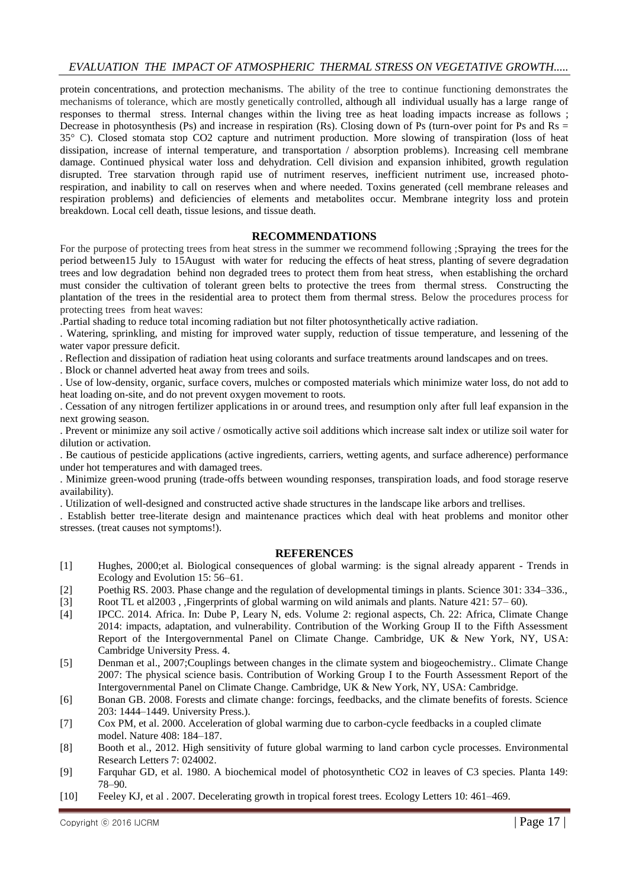protein concentrations, and protection mechanisms. The ability of the tree to continue functioning demonstrates the mechanisms of tolerance, which are mostly genetically controlled, although all individual usually has a large range of responses to thermal stress. Internal changes within the living tree as heat loading impacts increase as follows ; Decrease in photosynthesis (Ps) and increase in respiration (Rs). Closing down of Ps (turn-over point for Ps and Rs = 35° C). Closed stomata stop CO2 capture and nutriment production. More slowing of transpiration (loss of heat dissipation, increase of internal temperature, and transportation / absorption problems). Increasing cell membrane damage. Continued physical water loss and dehydration. Cell division and expansion inhibited, growth regulation disrupted. Tree starvation through rapid use of nutriment reserves, inefficient nutriment use, increased photorespiration, and inability to call on reserves when and where needed. Toxins generated (cell membrane releases and respiration problems) and deficiencies of elements and metabolites occur. Membrane integrity loss and protein breakdown. Local cell death, tissue lesions, and tissue death.

#### **RECOMMENDATIONS**

For the purpose of protecting trees from heat stress in the summer we recommend following ;Spraying the trees for the period between15 July to 15August with water for reducing the effects of heat stress, planting of severe degradation trees and low degradation behind non degraded trees to protect them from heat stress, when establishing the orchard must consider the cultivation of tolerant green belts to protective the trees from thermal stress. Constructing the plantation of the trees in the residential area to protect them from thermal stress. Below the procedures process for protecting trees from heat waves:

.Partial shading to reduce total incoming radiation but not filter photosynthetically active radiation.

. Watering, sprinkling, and misting for improved water supply, reduction of tissue temperature, and lessening of the water vapor pressure deficit.

. Reflection and dissipation of radiation heat using colorants and surface treatments around landscapes and on trees.

. Block or channel adverted heat away from trees and soils.

. Use of low-density, organic, surface covers, mulches or composted materials which minimize water loss, do not add to heat loading on-site, and do not prevent oxygen movement to roots.

. Cessation of any nitrogen fertilizer applications in or around trees, and resumption only after full leaf expansion in the next growing season.

. Prevent or minimize any soil active / osmotically active soil additions which increase salt index or utilize soil water for dilution or activation.

. Be cautious of pesticide applications (active ingredients, carriers, wetting agents, and surface adherence) performance under hot temperatures and with damaged trees.

. Minimize green-wood pruning (trade-offs between wounding responses, transpiration loads, and food storage reserve availability).

. Utilization of well-designed and constructed active shade structures in the landscape like arbors and trellises.

. Establish better tree-literate design and maintenance practices which deal with heat problems and monitor other stresses. (treat causes not symptoms!).

#### **REFERENCES**

- [1] Hughes, 2000;et al. Biological consequences of global warming: is the signal already apparent Trends in Ecology and Evolution 15: 56–61.
- [2] Poethig RS. 2003. Phase change and the regulation of developmental timings in plants. Science 301: 334–336.,
- [3] Root TL et al2003 , ,Fingerprints of global warming on wild animals and plants. Nature 421: 57– 60).
- [4] IPCC. 2014. Africa. In: Dube P, Leary N, eds. Volume 2: regional aspects, Ch. 22: Africa, Climate Change 2014: impacts, adaptation, and vulnerability. Contribution of the Working Group II to the Fifth Assessment Report of the Intergovernmental Panel on Climate Change. Cambridge, UK & New York, NY, USA: Cambridge University Press. 4.
- [5] Denman et al., 2007;Couplings between changes in the climate system and biogeochemistry.. Climate Change 2007: The physical science basis. Contribution of Working Group I to the Fourth Assessment Report of the Intergovernmental Panel on Climate Change. Cambridge, UK & New York, NY, USA: Cambridge.
- [6] Bonan GB. 2008. Forests and climate change: forcings, feedbacks, and the climate benefits of forests. Science 203: 1444–1449. University Press.).
- [7] Cox PM, et al. 2000. Acceleration of global warming due to carbon-cycle feedbacks in a coupled climate model. Nature 408: 184–187.
- [8] Booth et al., 2012. High sensitivity of future global warming to land carbon cycle processes. Environmental Research Letters 7: 024002.
- [9] Farquhar GD, et al. 1980. A biochemical model of photosynthetic CO2 in leaves of C3 species. Planta 149: 78–90.
- [10] Feeley KJ, et al . 2007. Decelerating growth in tropical forest trees. Ecology Letters 10: 461–469.